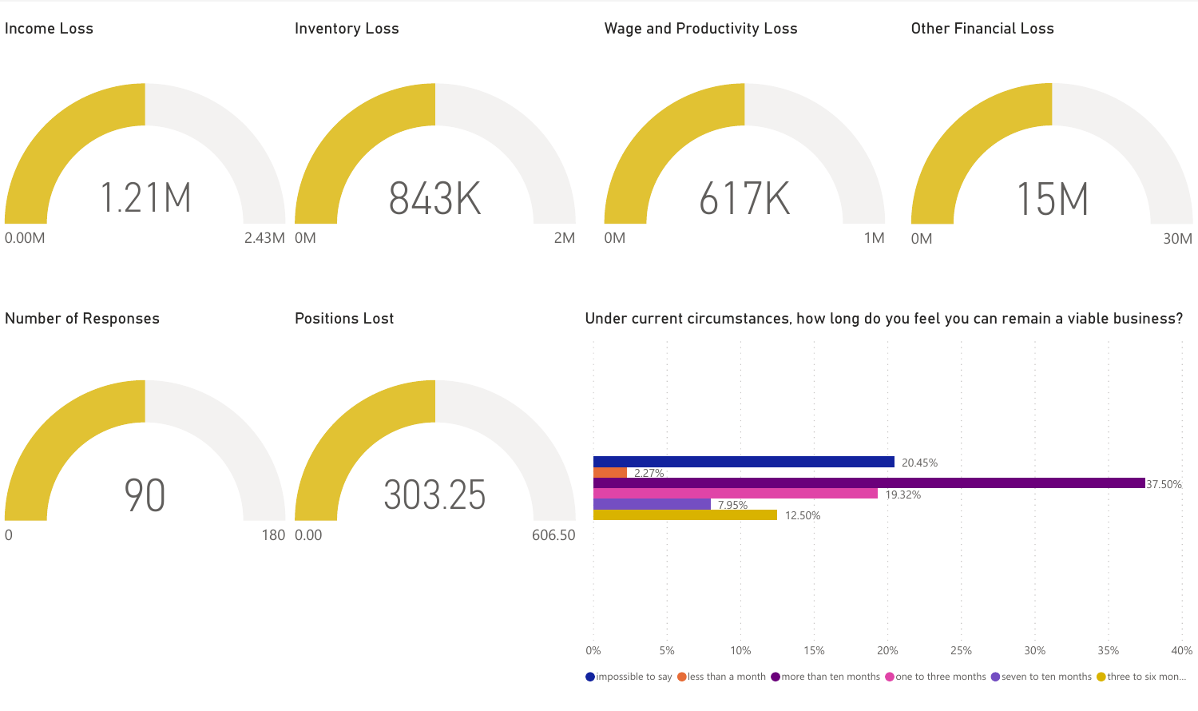